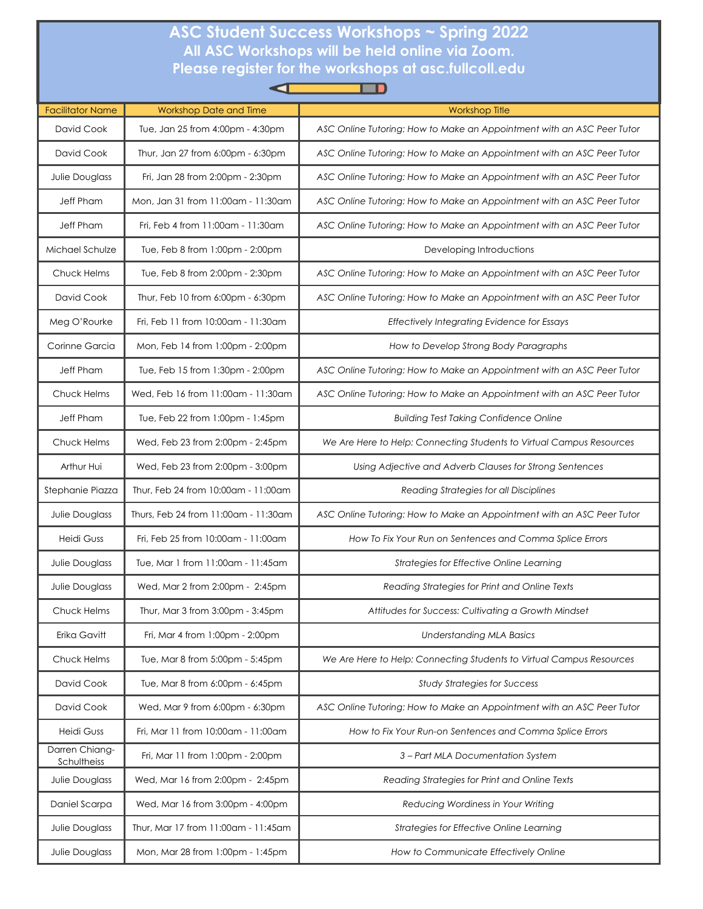## **ASC Student Success Workshops ~ Spring 2022 All ASC Workshops will be held online via Zoom. Please register for the workshops at [asc.fullcoll.edu](https://academicsupport.fullcoll.edu/)**

| <b>Facilitator Name</b>       | <b>Workshop Date and Time</b>        | <b>Workshop Title</b>                                                  |
|-------------------------------|--------------------------------------|------------------------------------------------------------------------|
| David Cook                    | Tue, Jan 25 from 4:00pm - 4:30pm     | ASC Online Tutoring: How to Make an Appointment with an ASC Peer Tutor |
| David Cook                    | Thur, Jan 27 from 6:00pm - 6:30pm    | ASC Online Tutoring: How to Make an Appointment with an ASC Peer Tutor |
| Julie Douglass                | Fri, Jan 28 from 2:00pm - 2:30pm     | ASC Online Tutoring: How to Make an Appointment with an ASC Peer Tutor |
| Jeff Pham                     | Mon, Jan 31 from 11:00am - 11:30am   | ASC Online Tutoring: How to Make an Appointment with an ASC Peer Tutor |
| Jeff Pham                     | Fri. Feb 4 from 11:00am - 11:30am    | ASC Online Tutoring: How to Make an Appointment with an ASC Peer Tutor |
| Michael Schulze               | Tue, Feb 8 from 1:00pm - 2:00pm      | Developing Introductions                                               |
| Chuck Helms                   | Tue, Feb 8 from 2:00pm - 2:30pm      | ASC Online Tutoring: How to Make an Appointment with an ASC Peer Tutor |
| David Cook                    | Thur, Feb 10 from 6:00pm - 6:30pm    | ASC Online Tutoring: How to Make an Appointment with an ASC Peer Tutor |
| Meg O'Rourke                  | Fri, Feb 11 from 10:00am - 11:30am   | <b>Effectively Integrating Evidence for Essays</b>                     |
| Corinne Garcia                | Mon, Feb 14 from 1:00pm - 2:00pm     | How to Develop Strong Body Paragraphs                                  |
| Jeff Pham                     | Tue, Feb 15 from 1:30pm - 2:00pm     | ASC Online Tutoring: How to Make an Appointment with an ASC Peer Tutor |
| Chuck Helms                   | Wed, Feb 16 from 11:00am - 11:30am   | ASC Online Tutoring: How to Make an Appointment with an ASC Peer Tutor |
| Jeff Pham                     | Tue, Feb 22 from 1:00pm - 1:45pm     | <b>Building Test Taking Confidence Online</b>                          |
| Chuck Helms                   | Wed, Feb 23 from 2:00pm - 2:45pm     | We Are Here to Help: Connecting Students to Virtual Campus Resources   |
| Arthur Hui                    | Wed, Feb 23 from 2:00pm - 3:00pm     | Using Adjective and Adverb Clauses for Strong Sentences                |
| Stephanie Piazza              | Thur, Feb 24 from 10:00am - 11:00am  | Reading Strategies for all Disciplines                                 |
| Julie Douglass                | Thurs, Feb 24 from 11:00am - 11:30am | ASC Online Tutoring: How to Make an Appointment with an ASC Peer Tutor |
| <b>Heidi Guss</b>             | Fri, Feb 25 from 10:00am - 11:00am   | How To Fix Your Run on Sentences and Comma Splice Errors               |
| Julie Douglass                | Tue, Mar 1 from 11:00am - 11:45am    | Strategies for Effective Online Learning                               |
| Julie Douglass                | Wed, Mar 2 from 2:00pm - 2:45pm      | Reading Strategies for Print and Online Texts                          |
| Chuck Helms                   | Thur, Mar 3 from 3:00pm - 3:45pm     | Attitudes for Success: Cultivating a Growth Mindset                    |
| Erika Gavitt                  | Fri, Mar 4 from 1:00pm - 2:00pm      | <b>Understanding MLA Basics</b>                                        |
| Chuck Helms                   | Tue, Mar 8 from 5:00pm - 5:45pm      | We Are Here to Help: Connecting Students to Virtual Campus Resources   |
| David Cook                    | Tue, Mar 8 from 6:00pm - 6:45pm      | <b>Study Strategies for Success</b>                                    |
| David Cook                    | Wed, Mar 9 from 6:00pm - 6:30pm      | ASC Online Tutoring: How to Make an Appointment with an ASC Peer Tutor |
| Heidi Guss                    | Fri, Mar 11 from 10:00am - 11:00am   | How to Fix Your Run-on Sentences and Comma Splice Errors               |
| Darren Chiang-<br>Schultheiss | Fri, Mar 11 from 1:00pm - 2:00pm     | 3 - Part MLA Documentation System                                      |
| Julie Douglass                | Wed, Mar 16 from 2:00pm - 2:45pm     | Reading Strategies for Print and Online Texts                          |
| Daniel Scarpa                 | Wed, Mar 16 from 3:00pm - 4:00pm     | Reducing Wordiness in Your Writing                                     |
| Julie Douglass                | Thur, Mar 17 from 11:00am - 11:45am  | Strategies for Effective Online Learning                               |
| Julie Douglass                | Mon, Mar 28 from 1:00pm - 1:45pm     | How to Communicate Effectively Online                                  |